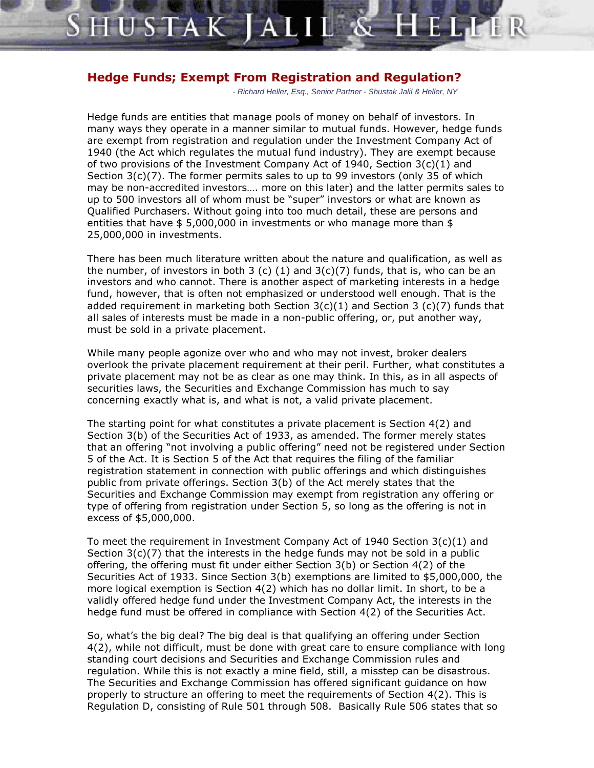## **Hedge Funds; Exempt From Registration and Regulation?**

HUSTAK

- Richard Heller, Esq., Senior Partner - Shustak Jalil & Heller, NY

Hedge funds are entities that manage pools of money on behalf of investors. In many ways they operate in a manner similar to mutual funds. However, hedge funds are exempt from registration and regulation under the Investment Company Act of 1940 (the Act which regulates the mutual fund industry). They are exempt because of two provisions of the Investment Company Act of 1940, Section  $3(c)(1)$  and Section  $3(c)(7)$ . The former permits sales to up to 99 investors (only 35 of which may be non-accredited investors.... more on this later) and the latter permits sales to up to 500 investors all of whom must be "super" investors or what are known as Qualified Purchasers. Without going into too much detail, these are persons and entities that have  $$ 5,000,000$  in investments or who manage more than \$ 25,000,000 in investments.

There has been much literature written about the nature and qualification, as well as the number, of investors in both 3 (c)  $(1)$  and  $3(c)(7)$  funds, that is, who can be an investors and who cannot. There is another aspect of marketing interests in a hedge fund, however, that is often not emphasized or understood well enough. That is the added requirement in marketing both Section  $3(c)(1)$  and Section 3 (c)(7) funds that all sales of interests must be made in a non-public offering, or, put another way, must be sold in a private placement.

While many people agonize over who and who may not invest, broker dealers overlook the private placement requirement at their peril. Further, what constitutes a private placement may not be as clear as one may think. In this, as in all aspects of securities laws, the Securities and Exchange Commission has much to say concerning exactly what is, and what is not, a valid private placement.

The starting point for what constitutes a private placement is Section 4(2) and Section 3(b) of the Securities Act of 1933, as amended. The former merely states that an offering "not involving a public offering" need not be registered under Section 5 of the Act. It is Section 5 of the Act that requires the filing of the familiar registration statement in connection with public offerings and which distinguishes public from private offerings. Section 3(b) of the Act merely states that the Securities and Exchange Commission may exempt from registration any offering or type of offering from registration under Section 5, so long as the offering is not in excess of \$5,000,000.

To meet the requirement in Investment Company Act of 1940 Section 3(c)(1) and Section  $3(c)(7)$  that the interests in the hedge funds may not be sold in a public offering, the offering must fit under either Section 3(b) or Section 4(2) of the Securities Act of 1933. Since Section 3(b) exemptions are limited to \$5,000,000, the more logical exemption is Section 4(2) which has no dollar limit. In short, to be a validly offered hedge fund under the Investment Company Act, the interests in the hedge fund must be offered in compliance with Section 4(2) of the Securities Act.

So, what's the big deal? The big deal is that qualifying an offering under Section 4(2), while not difficult, must be done with great care to ensure compliance with long standing court decisions and Securities and Exchange Commission rules and regulation. While this is not exactly a mine field, still, a misstep can be disastrous. The Securities and Exchange Commission has offered significant guidance on how properly to structure an offering to meet the requirements of Section  $4(2)$ . This is Regulation D, consisting of Rule 501 through 508. Basically Rule 506 states that so